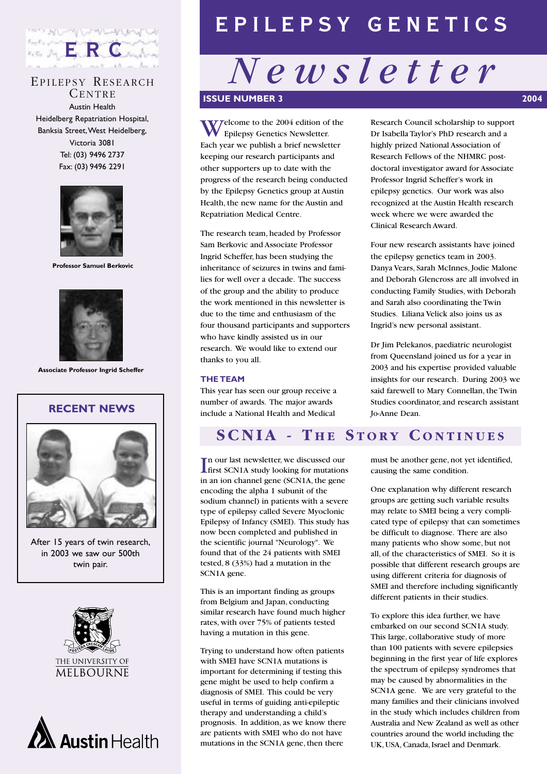

### EPILEPSY RESEARCH

CENTRE Austin Health Heidelberg Repatriation Hospital, Banksia Street,West Heidelberg, Victoria 3081 Tel: (03) 9496 2737 Fax: (03) 9496 2291



**Professor Samuel Berkovic**



**Associate Professor Ingrid Scheffer**





After 15 years of twin research, in 2003 we saw our 500th twin pair.





# EPILEPSY GENETICS

# *Newsletter*  **ISSUE NUMBER 3** 2004

Welcome to the 2004 edition of the Epilepsy Genetics Newsletter. Each year we publish a brief newsletter keeping our research participants and other supporters up to date with the progress of the research being conducted by the Epilepsy Genetics group at Austin Health, the new name for the Austin and Repatriation Medical Centre.

The research team, headed by Professor Sam Berkovic and Associate Professor Ingrid Scheffer, has been studying the inheritance of seizures in twins and families for well over a decade. The success of the group and the ability to produce the work mentioned in this newsletter is due to the time and enthusiasm of the four thousand participants and supporters who have kindly assisted us in our research. We would like to extend our thanks to you all.

#### **THE TEAM**

This year has seen our group receive a number of awards. The major awards include a National Health and Medical

Research Council scholarship to support Dr Isabella Taylor's PhD research and a highly prized National Association of Research Fellows of the NHMRC postdoctoral investigator award for Associate Professor Ingrid Scheffer's work in epilepsy genetics. Our work was also recognized at the Austin Health research week where we were awarded the Clinical Research Award.

Four new research assistants have joined the epilepsy genetics team in 2003. Danya Vears, Sarah McInnes, Jodie Malone and Deborah Glencross are all involved in conducting Family Studies, with Deborah and Sarah also coordinating the Twin Studies. Liliana Velick also joins us as Ingrid's new personal assistant.

Dr Jim Pelekanos, paediatric neurologist from Queensland joined us for a year in 2003 and his expertise provided valuable insights for our research. During 2003 we said farewell to Mary Connellan, the Twin Studies coordinator, and research assistant Jo-Anne Dean.

## **SCNIA - THE STORY CONTINUES**

In our last newsletter, we discussed our<br>
first SCN1A study looking for mutation first SCN1A study looking for mutations in an ion channel gene (SCN1A, the gene encoding the alpha 1 subunit of the sodium channel) in patients with a severe type of epilepsy called Severe Myoclonic Epilepsy of Infancy (SMEI). This study has now been completed and published in the scientific journal "Neurology". We found that of the 24 patients with SMEI tested, 8 (33%) had a mutation in the SCN1A gene.

This is an important finding as groups from Belgium and Japan, conducting similar research have found much higher rates, with over 75% of patients tested having a mutation in this gene.

Trying to understand how often patients with SMEI have SCN1A mutations is important for determining if testing this gene might be used to help confirm a diagnosis of SMEI. This could be very useful in terms of guiding anti-epileptic therapy and understanding a child's prognosis. In addition, as we know there are patients with SMEI who do not have mutations in the SCN1A gene, then there

must be another gene, not yet identified, causing the same condition.

One explanation why different research groups are getting such variable results may relate to SMEI being a very complicated type of epilepsy that can sometimes be difficult to diagnose. There are also many patients who show some, but not all, of the characteristics of SMEI. So it is possible that different research groups are using different criteria for diagnosis of SMEI and therefore including significantly different patients in their studies.

To explore this idea further, we have embarked on our second SCN1A study. This large, collaborative study of more than 100 patients with severe epilepsies beginning in the first year of life explores the spectrum of epilepsy syndromes that may be caused by abnormalities in the SCN1A gene. We are very grateful to the many families and their clinicians involved in the study which includes children from Australia and New Zealand as well as other countries around the world including the UK, USA, Canada, Israel and Denmark.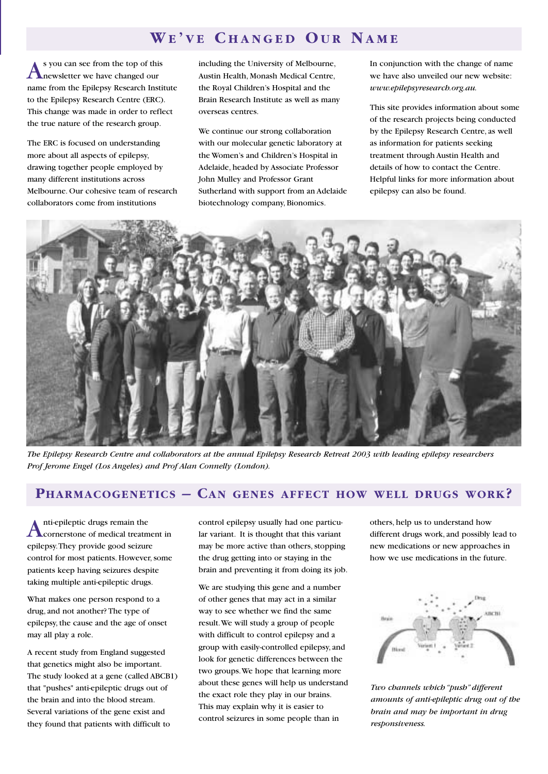### **W E ' V E C HANGED O U R N AME**

As you can see from the top of this newsletter we have changed our name from the Epilepsy Research Institute to the Epilepsy Research Centre (ERC). This change was made in order to reflect the true nature of the research group.

The ERC is focused on understanding more about all aspects of epilepsy, drawing together people employed by many different institutions across Melbourne. Our cohesive team of research collaborators come from institutions

including the University of Melbourne, Austin Health, Monash Medical Centre, the Royal Children's Hospital and the Brain Research Institute as well as many overseas centres.

We continue our strong collaboration with our molecular genetic laboratory at the Women's and Children's Hospital in Adelaide, headed by Associate Professor John Mulley and Professor Grant Sutherland with support from an Adelaide biotechnology company, Bionomics.

In conjunction with the change of name we have also unveiled our new website: *www.epilepsyresearch.org.au.*

This site provides information about some of the research projects being conducted by the Epilepsy Research Centre, as well as information for patients seeking treatment through Austin Health and details of how to contact the Centre. Helpful links for more information about epilepsy can also be found.



*The Epilepsy Research Centre and collaborators at the annual Epilepsy Research Retreat 2003 with leading epilepsy researchers Prof Jerome Engel (Los Angeles) and Prof Alan Connelly (London).*

### **PHARMACOGENETICS – CAN GENES AFFECT HOW WELL DRUGS WORK?**

Anti-epileptic drugs remain the<br>
cornerstone of medical treatment in epilepsy.They provide good seizure control for most patients. However, some patients keep having seizures despite taking multiple anti-epileptic drugs.

What makes one person respond to a drug, and not another? The type of epilepsy, the cause and the age of onset may all play a role.

A recent study from England suggested that genetics might also be important. The study looked at a gene (called ABCB1) that "pushes" anti-epileptic drugs out of the brain and into the blood stream. Several variations of the gene exist and they found that patients with difficult to

control epilepsy usually had one particular variant. It is thought that this variant may be more active than others, stopping the drug getting into or staying in the brain and preventing it from doing its job.

We are studying this gene and a number of other genes that may act in a similar way to see whether we find the same result.We will study a group of people with difficult to control epilepsy and a group with easily-controlled epilepsy, and look for genetic differences between the two groups.We hope that learning more about these genes will help us understand the exact role they play in our brains. This may explain why it is easier to control seizures in some people than in

others, help us to understand how different drugs work, and possibly lead to new medications or new approaches in how we use medications in the future.



*Two channels which "push" different amounts of anti-epileptic drug out of the brain and may be important in drug responsiveness.*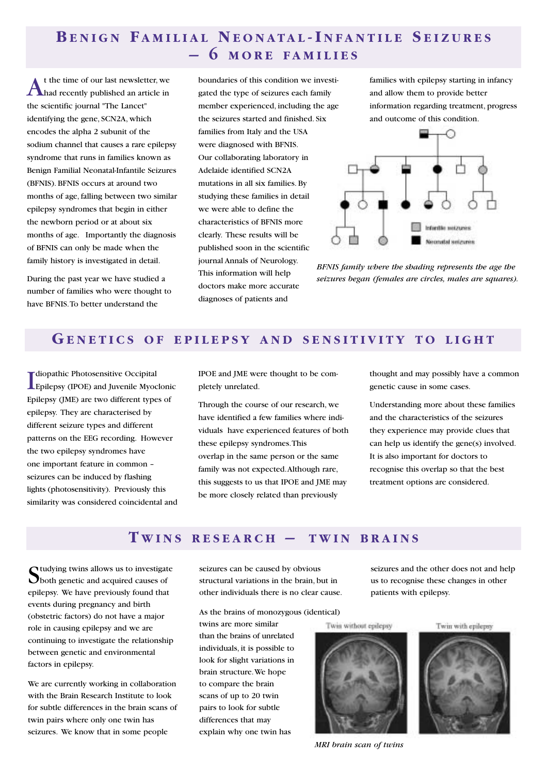## **B ENIGN F AMILIAL N EONATAL - I NFANTILE S EIZURES – 6 MORE FAMILIES**

At the time of our last newsletter, we<br>had recently published an article in the scientific journal "The Lancet" identifying the gene, SCN2A, which encodes the alpha 2 subunit of the sodium channel that causes a rare epilepsy syndrome that runs in families known as Benign Familial Neonatal-Infantile Seizures (BFNIS). BFNIS occurs at around two months of age, falling between two similar epilepsy syndromes that begin in either the newborn period or at about six months of age. Importantly the diagnosis of BFNIS can only be made when the family history is investigated in detail.

During the past year we have studied a number of families who were thought to have BFNIS.To better understand the

boundaries of this condition we investigated the type of seizures each family member experienced, including the age the seizures started and finished. Six families from Italy and the USA were diagnosed with BFNIS. Our collaborating laboratory in Adelaide identified SCN2A mutations in all six families. By studying these families in detail we were able to define the characteristics of BFNIS more clearly. These results will be published soon in the scientific journal Annals of Neurology. This information will help doctors make more accurate diagnoses of patients and

families with epilepsy starting in infancy and allow them to provide better information regarding treatment, progress and outcome of this condition.



*BFNIS family where the shading represents the age the seizures began (females are circles, males are squares).*

#### **G ENETICS OF EPILEPSY AND SENSITIVITY TO LIGHT**

I Epilepsy (IPOE) and Juvenile Myoclonic diopathic Photosensitive Occipital Epilepsy (JME) are two different types of epilepsy. They are characterised by different seizure types and different patterns on the EEG recording. However the two epilepsy syndromes have one important feature in common – seizures can be induced by flashing lights (photosensitivity). Previously this similarity was considered coincidental and

IPOE and JME were thought to be completely unrelated.

Through the course of our research, we have identified a few families where individuals have experienced features of both these epilepsy syndromes.This overlap in the same person or the same family was not expected.Although rare, this suggests to us that IPOE and JME may be more closely related than previously

thought and may possibly have a common genetic cause in some cases.

Understanding more about these families and the characteristics of the seizures they experience may provide clues that can help us identify the gene(s) involved. It is also important for doctors to recognise this overlap so that the best treatment options are considered.

#### **T WINS RESEARCH – TWIN BRAINS**

Studying twins allows us to investigate **O**both genetic and acquired causes of epilepsy. We have previously found that events during pregnancy and birth (obstetric factors) do not have a major role in causing epilepsy and we are continuing to investigate the relationship between genetic and environmental factors in epilepsy.

We are currently working in collaboration with the Brain Research Institute to look for subtle differences in the brain scans of twin pairs where only one twin has seizures. We know that in some people

seizures can be caused by obvious structural variations in the brain, but in other individuals there is no clear cause.

As the brains of monozygous (identical)

twins are more similar than the brains of unrelated individuals, it is possible to look for slight variations in brain structure.We hope to compare the brain scans of up to 20 twin pairs to look for subtle differences that may explain why one twin has

seizures and the other does not and help us to recognise these changes in other patients with epilepsy.

Twin without epilepsy



*MRI brain scan of twins*

Twin with epilepsy